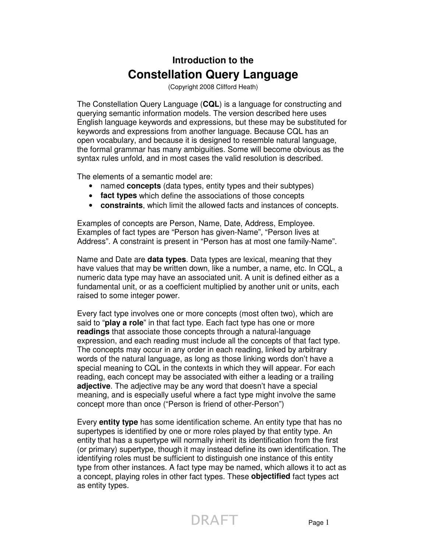# **Introduction to the Constellation Query Language**

(Copyright 2008 Clifford Heath)

The Constellation Query Language (**CQL**) is a language for constructing and querying semantic information models. The version described here uses English language keywords and expressions, but these may be substituted for keywords and expressions from another language. Because CQL has an open vocabulary, and because it is designed to resemble natural language, the formal grammar has many ambiguities. Some will become obvious as the syntax rules unfold, and in most cases the valid resolution is described.

The elements of a semantic model are:

- named **concepts** (data types, entity types and their subtypes)
- **fact types** which define the associations of those concepts
- **constraints**, which limit the allowed facts and instances of concepts.

Examples of concepts are Person, Name, Date, Address, Employee. Examples of fact types are "Person has given-Name", "Person lives at Address". A constraint is present in "Person has at most one family-Name".

Name and Date are **data types**. Data types are lexical, meaning that they have values that may be written down, like a number, a name, etc. In CQL, a numeric data type may have an associated unit. A unit is defined either as a fundamental unit, or as a coefficient multiplied by another unit or units, each raised to some integer power.

Every fact type involves one or more concepts (most often two), which are said to "**play a role**" in that fact type. Each fact type has one or more **readings** that associate those concepts through a natural-language expression, and each reading must include all the concepts of that fact type. The concepts may occur in any order in each reading, linked by arbitrary words of the natural language, as long as those linking words don't have a special meaning to CQL in the contexts in which they will appear. For each reading, each concept may be associated with either a leading or a trailing **adjective**. The adjective may be any word that doesn't have a special meaning, and is especially useful where a fact type might involve the same concept more than once ("Person is friend of other-Person")

Every **entity type** has some identification scheme. An entity type that has no supertypes is identified by one or more roles played by that entity type. An entity that has a supertype will normally inherit its identification from the first (or primary) supertype, though it may instead define its own identification. The identifying roles must be sufficient to distinguish one instance of this entity type from other instances. A fact type may be named, which allows it to act as a concept, playing roles in other fact types. These **objectified** fact types act as entity types.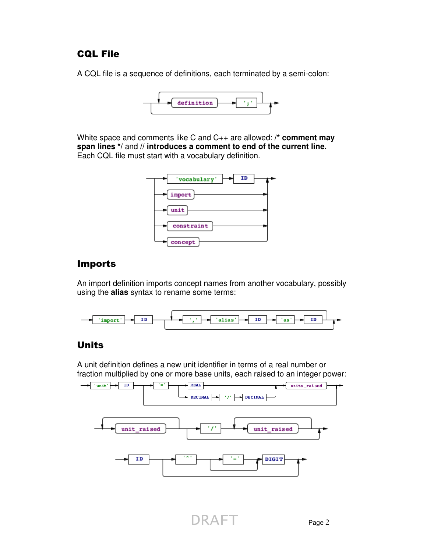### CQL File

A CQL file is a sequence of definitions, each terminated by a semi-colon:



White space and comments like C and C++ are allowed: **/\* comment may span lines \*/** and **// introduces a comment to end of the current line.** Each CQL file must start with a vocabulary definition.



### Imports

An import definition imports concept names from another vocabulary, possibly using the **alias** syntax to rename some terms:



### Units

A unit definition defines a new unit identifier in terms of a real number or fraction multiplied by one or more base units, each raised to an integer power:

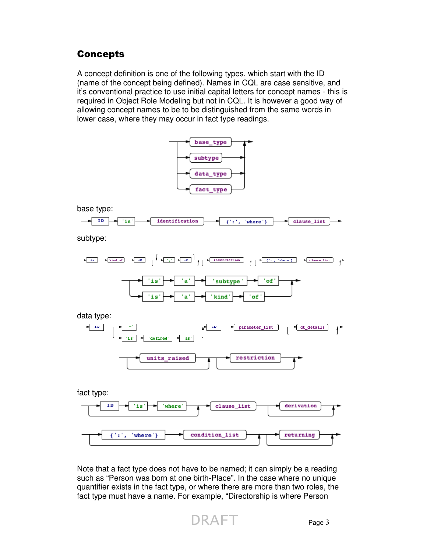### **Concepts**

A concept definition is one of the following types, which start with the ID (name of the concept being defined). Names in CQL are case sensitive, and it's conventional practice to use initial capital letters for concept names - this is required in Object Role Modeling but not in CQL. It is however a good way of allowing concept names to be to be distinguished from the same words in lower case, where they may occur in fact type readings.









Note that a fact type does not have to be named; it can simply be a reading such as "Person was born at one birth-Place". In the case where no unique quantifier exists in the fact type, or where there are more than two roles, the fact type must have a name. For example, "Directorship is where Person

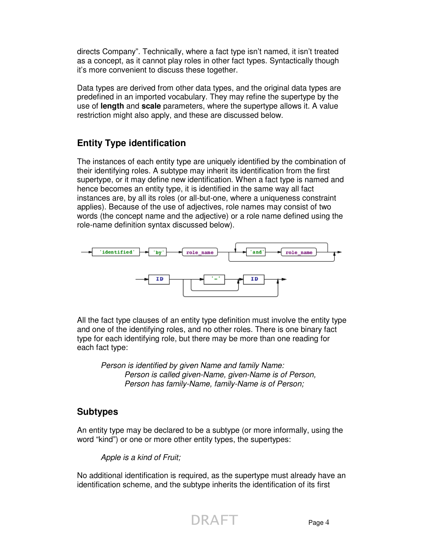directs Company". Technically, where a fact type isn't named, it isn't treated as a concept, as it cannot play roles in other fact types. Syntactically though it's more convenient to discuss these together.

Data types are derived from other data types, and the original data types are predefined in an imported vocabulary. They may refine the supertype by the use of **length** and **scale** parameters, where the supertype allows it. A value restriction might also apply, and these are discussed below.

# **Entity Type identification**

The instances of each entity type are uniquely identified by the combination of their identifying roles. A subtype may inherit its identification from the first supertype, or it may define new identification. When a fact type is named and hence becomes an entity type, it is identified in the same way all fact instances are, by all its roles (or all-but-one, where a uniqueness constraint applies). Because of the use of adjectives, role names may consist of two words (the concept name and the adjective) or a role name defined using the role-name definition syntax discussed below).



All the fact type clauses of an entity type definition must involve the entity type and one of the identifying roles, and no other roles. There is one binary fact type for each identifying role, but there may be more than one reading for each fact type:

Person is identified by given Name and family Name: Person is called given-Name, given-Name is of Person, Person has family-Name, family-Name is of Person;

### **Subtypes**

An entity type may be declared to be a subtype (or more informally, using the word "kind") or one or more other entity types, the supertypes:

Apple is a kind of Fruit;

No additional identification is required, as the supertype must already have an identification scheme, and the subtype inherits the identification of its first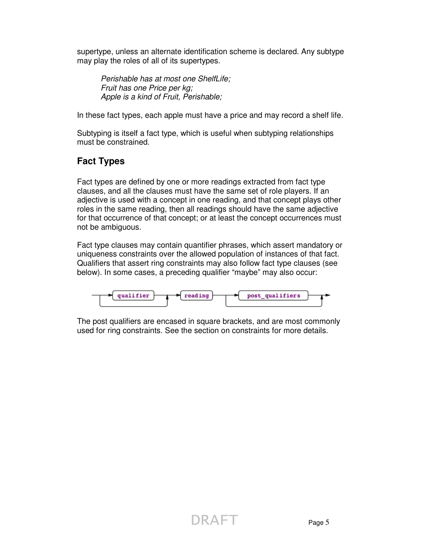supertype, unless an alternate identification scheme is declared. Any subtype may play the roles of all of its supertypes.

 Perishable has at most one ShelfLife; Fruit has one Price per kg; Apple is a kind of Fruit, Perishable;

In these fact types, each apple must have a price and may record a shelf life.

Subtyping is itself a fact type, which is useful when subtyping relationships must be constrained.

# **Fact Types**

Fact types are defined by one or more readings extracted from fact type clauses, and all the clauses must have the same set of role players. If an adjective is used with a concept in one reading, and that concept plays other roles in the same reading, then all readings should have the same adjective for that occurrence of that concept; or at least the concept occurrences must not be ambiguous.

Fact type clauses may contain quantifier phrases, which assert mandatory or uniqueness constraints over the allowed population of instances of that fact. Qualifiers that assert ring constraints may also follow fact type clauses (see below). In some cases, a preceding qualifier "maybe" may also occur:



The post qualifiers are encased in square brackets, and are most commonly used for ring constraints. See the section on constraints for more details.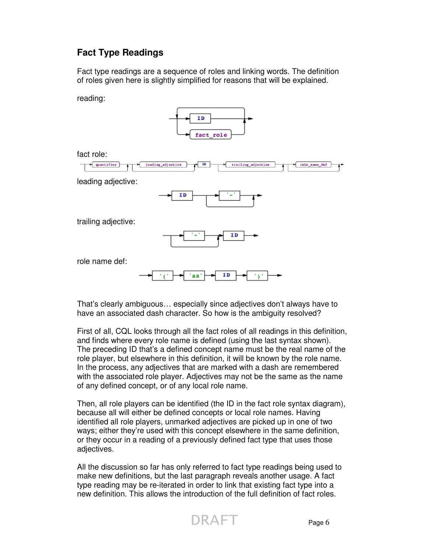# **Fact Type Readings**

Fact type readings are a sequence of roles and linking words. The definition of roles given here is slightly simplified for reasons that will be explained.

reading:



fact role:



leading adjective:



trailing adjective:



role name def:

**TD** as

That's clearly ambiguous… especially since adjectives don't always have to have an associated dash character. So how is the ambiguity resolved?

First of all, CQL looks through all the fact roles of all readings in this definition, and finds where every role name is defined (using the last syntax shown). The preceding ID that's a defined concept name must be the real name of the role player, but elsewhere in this definition, it will be known by the role name. In the process, any adjectives that are marked with a dash are remembered with the associated role player. Adjectives may not be the same as the name of any defined concept, or of any local role name.

Then, all role players can be identified (the ID in the fact role syntax diagram), because all will either be defined concepts or local role names. Having identified all role players, unmarked adjectives are picked up in one of two ways; either they're used with this concept elsewhere in the same definition, or they occur in a reading of a previously defined fact type that uses those adjectives.

All the discussion so far has only referred to fact type readings being used to make new definitions, but the last paragraph reveals another usage. A fact type reading may be re-iterated in order to link that existing fact type into a new definition. This allows the introduction of the full definition of fact roles.

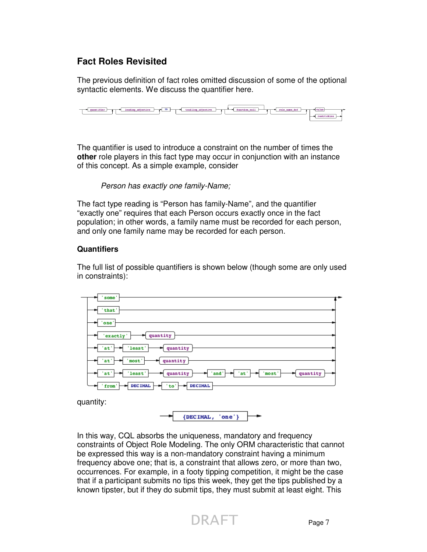### **Fact Roles Revisited**

The previous definition of fact roles omitted discussion of some of the optional syntactic elements. We discuss the quantifier here.



The quantifier is used to introduce a constraint on the number of times the **other** role players in this fact type may occur in conjunction with an instance of this concept. As a simple example, consider

Person has exactly one family-Name;

The fact type reading is "Person has family-Name", and the quantifier "exactly one" requires that each Person occurs exactly once in the fact population; in other words, a family name must be recorded for each person, and only one family name may be recorded for each person.

#### **Quantifiers**

The full list of possible quantifiers is shown below (though some are only used in constraints):

| 'some'                                                            |  |
|-------------------------------------------------------------------|--|
| 'that'                                                            |  |
| 'one'                                                             |  |
| quantity<br>'exactly                                              |  |
| 'least'<br>'at'<br>quantity                                       |  |
| quantity<br>'at'<br>'most'                                        |  |
| and'<br>'at'<br>'least'<br>'most'<br>quantity<br>'at'<br>quantity |  |
| DECIMAL<br><b>DECIMAL</b><br>'to'<br>'from'                       |  |
|                                                                   |  |

quantity:



In this way, CQL absorbs the uniqueness, mandatory and frequency constraints of Object Role Modeling. The only ORM characteristic that cannot be expressed this way is a non-mandatory constraint having a minimum frequency above one; that is, a constraint that allows zero, or more than two, occurrences. For example, in a footy tipping competition, it might be the case that if a participant submits no tips this week, they get the tips published by a known tipster, but if they do submit tips, they must submit at least eight. This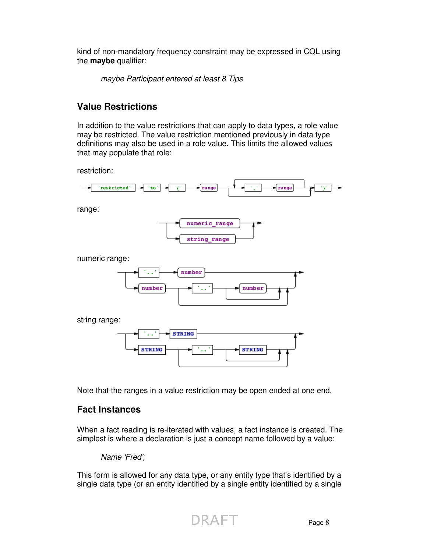kind of non-mandatory frequency constraint may be expressed in CQL using the **maybe** qualifier:

maybe Participant entered at least 8 Tips

# **Value Restrictions**

In addition to the value restrictions that can apply to data types, a role value may be restricted. The value restriction mentioned previously in data type definitions may also be used in a role value. This limits the allowed values that may populate that role:

restriction:



range:



numeric range:



string range:



Note that the ranges in a value restriction may be open ended at one end.

### **Fact Instances**

When a fact reading is re-iterated with values, a fact instance is created. The simplest is where a declaration is just a concept name followed by a value:

Name 'Fred';

This form is allowed for any data type, or any entity type that's identified by a single data type (or an entity identified by a single entity identified by a single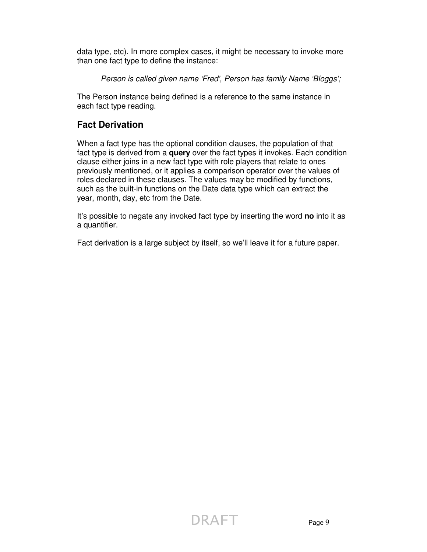data type, etc). In more complex cases, it might be necessary to invoke more than one fact type to define the instance:

Person is called given name 'Fred', Person has family Name 'Bloggs';

The Person instance being defined is a reference to the same instance in each fact type reading.

### **Fact Derivation**

When a fact type has the optional condition clauses, the population of that fact type is derived from a **query** over the fact types it invokes. Each condition clause either joins in a new fact type with role players that relate to ones previously mentioned, or it applies a comparison operator over the values of roles declared in these clauses. The values may be modified by functions, such as the built-in functions on the Date data type which can extract the year, month, day, etc from the Date.

It's possible to negate any invoked fact type by inserting the word **no** into it as a quantifier.

Fact derivation is a large subject by itself, so we'll leave it for a future paper.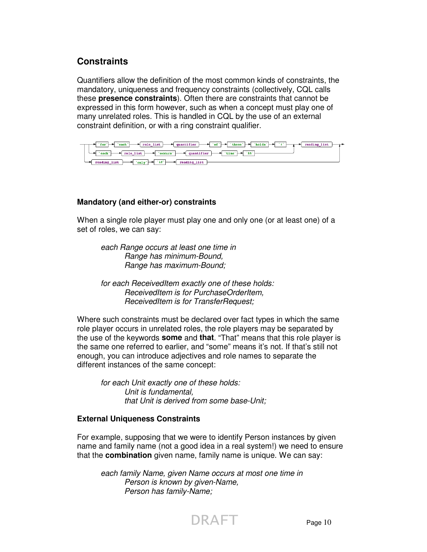### **Constraints**

Quantifiers allow the definition of the most common kinds of constraints, the mandatory, uniqueness and frequency constraints (collectively, CQL calls these **presence constraints**). Often there are constraints that cannot be expressed in this form however, such as when a concept must play one of many unrelated roles. This is handled in CQL by the use of an external constraint definition, or with a ring constraint qualifier.



#### **Mandatory (and either-or) constraints**

When a single role player must play one and only one (or at least one) of a set of roles, we can say:

each Range occurs at least one time in Range has minimum-Bound, Range has maximum-Bound;

 for each ReceivedItem exactly one of these holds: ReceivedItem is for PurchaseOrderItem, ReceivedItem is for TransferRequest;

Where such constraints must be declared over fact types in which the same role player occurs in unrelated roles, the role players may be separated by the use of the keywords **some** and **that**. "That" means that this role player is the same one referred to earlier, and "some" means it's not. If that's still not enough, you can introduce adjectives and role names to separate the different instances of the same concept:

for each Unit exactly one of these holds: Unit is fundamental, that Unit is derived from some base-Unit;

#### **External Uniqueness Constraints**

For example, supposing that we were to identify Person instances by given name and family name (not a good idea in a real system!) we need to ensure that the **combination** given name, family name is unique. We can say:

 each family Name, given Name occurs at most one time in Person is known by given-Name, Person has family-Name;